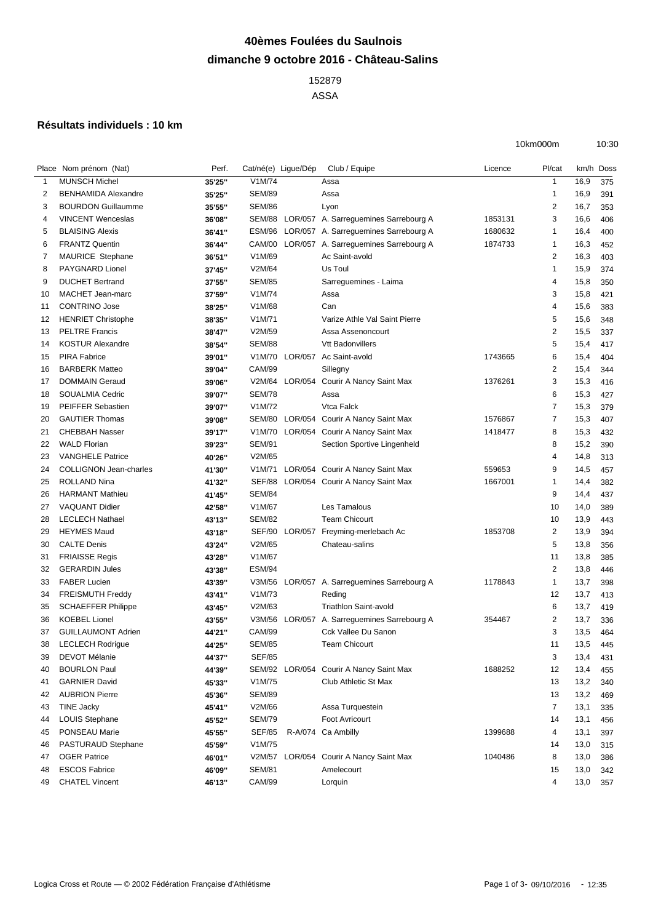## **40èmes Foulées du Saulnois dimanche 9 octobre 2016 - Château-Salins**

 ASSA

## **Résultats individuels : 10 km**

| 10km000m | 10:30 |
|----------|-------|
|          |       |

|              | Place Nom prénom (Nat)        | Perf.  | Cat/né(e) Ligue/Dép |                | Club / Equipe                           | Licence | Pl/cat                  | km/h Doss |     |
|--------------|-------------------------------|--------|---------------------|----------------|-----------------------------------------|---------|-------------------------|-----------|-----|
| $\mathbf{1}$ | <b>MUNSCH Michel</b>          | 35'25" | V1M/74              |                | Assa                                    |         | 1                       | 16,9      | 375 |
| 2            | <b>BENHAMIDA Alexandre</b>    | 35'25" | <b>SEM/89</b>       |                | Assa                                    |         | $\mathbf 1$             | 16,9      | 391 |
| 3            | <b>BOURDON Guillaumme</b>     | 35'55" | <b>SEM/86</b>       |                | Lyon                                    |         | 2                       | 16,7      | 353 |
| 4            | <b>VINCENT Wenceslas</b>      | 36'08" | SEM/88              | LOR/057        | A. Sarreguemines Sarrebourg A           | 1853131 | 3                       | 16,6      | 406 |
| 5            | <b>BLAISING Alexis</b>        | 36'41" | <b>ESM/96</b>       |                | LOR/057 A. Sarreguemines Sarrebourg A   | 1680632 | 1                       | 16,4      | 400 |
| 6            | <b>FRANTZ Quentin</b>         | 36'44" | CAM/00              |                | LOR/057 A. Sarreguemines Sarrebourg A   | 1874733 | 1                       | 16,3      | 452 |
| 7            | MAURICE Stephane              | 36'51" | V1M/69              |                | Ac Saint-avold                          |         | $\overline{2}$          | 16,3      | 403 |
| 8            | <b>PAYGNARD Lionel</b>        | 37'45" | V2M/64              |                | Us Toul                                 |         | $\mathbf 1$             | 15,9      | 374 |
| 9            | <b>DUCHET Bertrand</b>        | 37'55" | <b>SEM/85</b>       |                | Sarreguemines - Laima                   |         | 4                       | 15,8      | 350 |
| 10           | <b>MACHET Jean-marc</b>       | 37'59" | V1M/74              |                | Assa                                    |         | 3                       | 15,8      | 421 |
| 11           | <b>CONTRINO Jose</b>          | 38'25" | V1M/68              |                | Can                                     |         | 4                       | 15,6      | 383 |
| 12           | <b>HENRIET Christophe</b>     | 38'35" | V1M/71              |                | Varize Athle Val Saint Pierre           |         | 5                       | 15,6      | 348 |
| 13           | <b>PELTRE Francis</b>         | 38'47" | V2M/59              |                | Assa Assenoncourt                       |         | 2                       | 15,5      | 337 |
| 14           | <b>KOSTUR Alexandre</b>       | 38'54" | <b>SEM/88</b>       |                | <b>Vtt Badonvillers</b>                 |         | 5                       | 15,4      | 417 |
| 15           | <b>PIRA Fabrice</b>           | 39'01" | V1M/70              | LOR/057        | Ac Saint-avold                          | 1743665 | 6                       | 15,4      | 404 |
| 16           | <b>BARBERK Matteo</b>         | 39'04" | CAM/99              |                | Sillegny                                |         | 2                       | 15,4      | 344 |
| 17           | <b>DOMMAIN Geraud</b>         | 39'06" | V2M/64              | LOR/054        | Courir A Nancy Saint Max                | 1376261 | 3                       | 15,3      | 416 |
| 18           | <b>SOUALMIA Cedric</b>        | 39'07" | <b>SEM/78</b>       |                | Assa                                    |         | 6                       | 15,3      | 427 |
| 19           | <b>PEIFFER Sebastien</b>      | 39'07" | V1M/72              |                | Vtca Falck                              |         | 7                       | 15,3      | 379 |
| 20           | <b>GAUTIER Thomas</b>         | 39'08" | SEM/80              | LOR/054        | Courir A Nancy Saint Max                | 1576867 | $\overline{7}$          | 15,3      | 407 |
| 21           | <b>CHEBBAH Nasser</b>         | 39'17" | V1M/70              | LOR/054        | Courir A Nancy Saint Max                | 1418477 | 8                       | 15,3      | 432 |
| 22           | <b>WALD Florian</b>           | 39'23" | <b>SEM/91</b>       |                | Section Sportive Lingenheld             |         | 8                       | 15,2      | 390 |
| 23           | <b>VANGHELE Patrice</b>       | 40'26" | V2M/65              |                |                                         |         | 4                       | 14,8      | 313 |
| 24           | <b>COLLIGNON Jean-charles</b> | 41'30" | V1M/71              |                | LOR/054 Courir A Nancy Saint Max        | 559653  | 9                       | 14,5      | 457 |
| 25           | <b>ROLLAND Nina</b>           | 41'32" | SEF/88              |                | LOR/054 Courir A Nancy Saint Max        | 1667001 | 1                       | 14,4      | 382 |
| 26           | <b>HARMANT Mathieu</b>        | 41'45" | <b>SEM/84</b>       |                |                                         |         | 9                       | 14,4      | 437 |
| 27           | <b>VAQUANT Didier</b>         | 42'58" | V1M/67              |                | Les Tamalous                            |         | 10                      | 14,0      | 389 |
| 28           | <b>LECLECH Nathael</b>        | 43'13" | <b>SEM/82</b>       |                | <b>Team Chicourt</b>                    |         | 10                      | 13,9      | 443 |
| 29           | <b>HEYMES Maud</b>            | 43'18" | SEF/90              | LOR/057        | Freyming-merlebach Ac                   | 1853708 | 2                       | 13,9      | 394 |
| 30           | <b>CALTE Denis</b>            | 43'24" | V2M/65              |                | Chateau-salins                          |         | 5                       | 13,8      | 356 |
| 31           | <b>FRIAISSE Regis</b>         | 43'28" | V1M/67              |                |                                         |         | 11                      | 13,8      | 385 |
| 32           | <b>GERARDIN Jules</b>         | 43'38" | <b>ESM/94</b>       |                |                                         |         | $\overline{\mathbf{c}}$ | 13,8      | 446 |
| 33           | <b>FABER Lucien</b>           | 43'39" | V3M/56              | LOR/057        | A. Sarreguemines Sarrebourg A           | 1178843 | $\mathbf{1}$            | 13,7      | 398 |
| 34           | <b>FREISMUTH Freddy</b>       | 43'41" | V1M/73              |                | Reding                                  |         | 12                      | 13,7      | 413 |
| 35           | <b>SCHAEFFER Philippe</b>     | 43'45" | V2M/63              |                | <b>Triathlon Saint-avold</b>            |         | 6                       | 13,7      | 419 |
| 36           | <b>KOEBEL Lionel</b>          | 43'55" | V3M/56              | LOR/057        | A. Sarreguemines Sarrebourg A           | 354467  | 2                       | 13,7      | 336 |
| 37           | <b>GUILLAUMONT Adrien</b>     | 44'21" | <b>CAM/99</b>       |                | Cck Vallee Du Sanon                     |         | 3                       | 13,5      | 464 |
| 38           | <b>LECLECH Rodrigue</b>       | 44'25" | <b>SEM/85</b>       |                | <b>Team Chicourt</b>                    |         | 11                      | 13,5      | 445 |
| 39           | DEVOT Mélanie                 | 44'37" | <b>SEF/85</b>       |                |                                         |         | 3                       | 13,4      | 431 |
| 40           | <b>BOURLON Paul</b>           | 44'39" |                     |                | SEM/92 LOR/054 Courir A Nancy Saint Max | 1688252 | 12                      | 13,4      | 455 |
| 41           | <b>GARNIER David</b>          | 45'33" | V1M/75              |                | Club Athletic St Max                    |         | 13                      | 13,2      | 340 |
| 42           | <b>AUBRION Pierre</b>         | 45'36" | <b>SEM/89</b>       |                |                                         |         | 13                      | 13,2      | 469 |
| 43           | <b>TINE Jacky</b>             | 45'41" | V2M/66              |                | Assa Turquestein                        |         | $\overline{7}$          | 13,1      | 335 |
| 44           | LOUIS Stephane                | 45'52" | <b>SEM/79</b>       |                | Foot Avricourt                          |         | 14                      | 13,1      | 456 |
| 45           | <b>PONSEAU Marie</b>          | 45'55" | SEF/85              |                | R-A/074 Ca Ambilly                      | 1399688 | 4                       | 13,1      | 397 |
| 46           | PASTURAUD Stephane            | 45'59" | V1M/75              |                |                                         |         | 14                      | 13,0      | 315 |
| 47           | <b>OGER Patrice</b>           | 46'01" |                     | V2M/57 LOR/054 | Courir A Nancy Saint Max                | 1040486 | 8                       | 13,0      | 386 |
| 48           | <b>ESCOS Fabrice</b>          | 46'09" | <b>SEM/81</b>       |                | Amelecourt                              |         | 15                      | 13,0      | 342 |
| 49           | <b>CHATEL Vincent</b>         | 46'13" | <b>CAM/99</b>       |                | Lorquin                                 |         | 4                       | 13,0      | 357 |
|              |                               |        |                     |                |                                         |         |                         |           |     |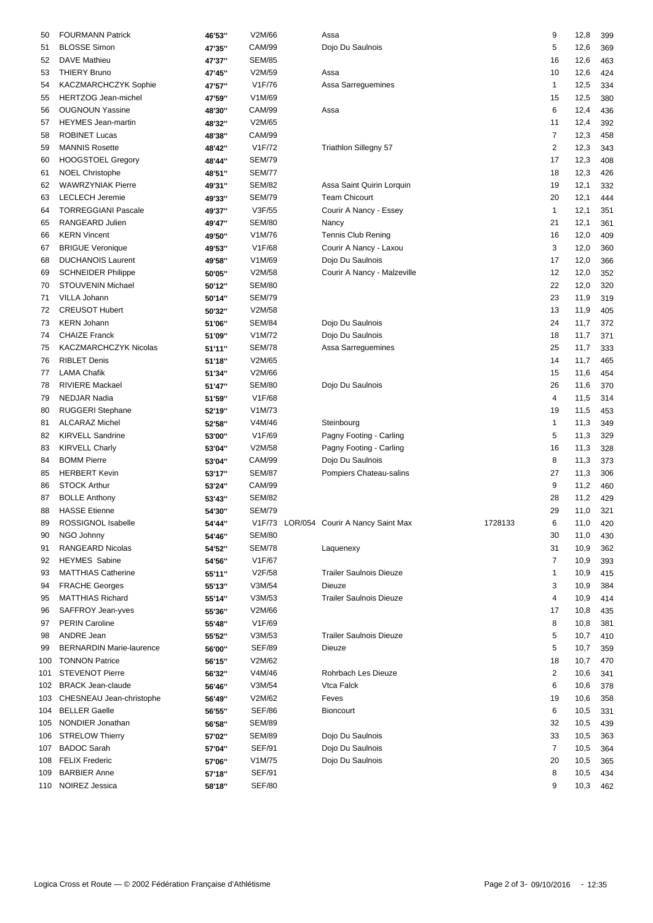| 50  | <b>FOURMANN Patrick</b>         | 46'53" | V2M/66        | Assa                                    |         | 9              | 12,8 | 399 |
|-----|---------------------------------|--------|---------------|-----------------------------------------|---------|----------------|------|-----|
| 51  | <b>BLOSSE Simon</b>             | 47'35" | <b>CAM/99</b> | Dojo Du Saulnois                        |         | 5              | 12,6 | 369 |
| 52  | <b>DAVE Mathieu</b>             | 47'37" | <b>SEM/85</b> |                                         |         | 16             | 12,6 | 463 |
| 53  | <b>THIERY Bruno</b>             | 47'45" | V2M/59        | Assa                                    |         | 10             | 12,6 | 424 |
| 54  | KACZMARCHCZYK Sophie            | 47'57" | V1F/76        | Assa Sarreguemines                      |         | $\mathbf{1}$   | 12,5 | 334 |
| 55  | HERTZOG Jean-michel             | 47'59" | V1M/69        |                                         |         | 15             | 12,5 | 380 |
| 56  | <b>OUGNOUN Yassine</b>          | 48'30" | CAM/99        | Assa                                    |         | 6              | 12,4 | 436 |
| 57  | <b>HEYMES</b> Jean-martin       | 48'32" | V2M/65        |                                         |         | 11             | 12,4 | 392 |
| 58  | <b>ROBINET Lucas</b>            | 48'38" | <b>CAM/99</b> |                                         |         | 7              | 12,3 | 458 |
| 59  | <b>MANNIS Rosette</b>           | 48'42" | V1F/72        | <b>Triathlon Sillegny 57</b>            |         | $\overline{c}$ | 12,3 | 343 |
| 60  | <b>HOOGSTOEL Gregory</b>        | 48'44" | <b>SEM/79</b> |                                         |         | 17             | 12,3 | 408 |
| 61  | <b>NOEL Christophe</b>          | 48'51" | <b>SEM/77</b> |                                         |         | 18             | 12,3 | 426 |
| 62  | <b>WAWRZYNIAK Pierre</b>        | 49'31" | <b>SEM/82</b> | Assa Saint Quirin Lorquin               |         | 19             | 12,1 | 332 |
| 63  | <b>LECLECH Jeremie</b>          |        | <b>SEM/79</b> | <b>Team Chicourt</b>                    |         | 20             | 12,1 | 444 |
|     | <b>TORREGGIANI Pascale</b>      | 49'33" | V3F/55        |                                         |         | $\mathbf{1}$   |      |     |
| 64  |                                 | 49'37" |               | Courir A Nancy - Essey                  |         |                | 12,1 | 351 |
| 65  | RANGEARD Julien                 | 49'47" | <b>SEM/80</b> | Nancy                                   |         | 21             | 12,1 | 361 |
| 66  | <b>KERN Vincent</b>             | 49'50" | V1M/76        | Tennis Club Rening                      |         | 16             | 12,0 | 409 |
| 67  | <b>BRIGUE Veronique</b>         | 49'53" | V1F/68        | Courir A Nancy - Laxou                  |         | 3              | 12,0 | 360 |
| 68  | <b>DUCHANOIS Laurent</b>        | 49'58" | V1M/69        | Dojo Du Saulnois                        |         | 17             | 12,0 | 366 |
| 69  | <b>SCHNEIDER Philippe</b>       | 50'05" | V2M/58        | Courir A Nancy - Malzeville             |         | 12             | 12,0 | 352 |
| 70  | STOUVENIN Michael               | 50'12" | <b>SEM/80</b> |                                         |         | 22             | 12,0 | 320 |
| 71  | VILLA Johann                    | 50'14" | <b>SEM/79</b> |                                         |         | 23             | 11,9 | 319 |
| 72  | <b>CREUSOT Hubert</b>           | 50'32" | V2M/58        |                                         |         | 13             | 11,9 | 405 |
| 73  | <b>KERN Johann</b>              | 51'06" | <b>SEM/84</b> | Dojo Du Saulnois                        |         | 24             | 11,7 | 372 |
| 74  | <b>CHAIZE Franck</b>            | 51'09" | V1M/72        | Dojo Du Saulnois                        |         | 18             | 11,7 | 371 |
| 75  | KACZMARCHCZYK Nicolas           | 51'11" | <b>SEM/78</b> | Assa Sarreguemines                      |         | 25             | 11,7 | 333 |
| 76  | <b>RIBLET Denis</b>             | 51'18" | V2M/65        |                                         |         | 14             | 11,7 | 465 |
| 77  | <b>LAMA Chafik</b>              | 51'34" | V2M/66        |                                         |         | 15             | 11,6 | 454 |
| 78  | <b>RIVIERE Mackael</b>          | 51'47" | <b>SEM/80</b> | Dojo Du Saulnois                        |         | 26             | 11,6 | 370 |
| 79  | NEDJAR Nadia                    | 51'59" | V1F/68        |                                         |         | 4              | 11,5 | 314 |
| 80  | <b>RUGGERI Stephane</b>         | 52'19" | V1M/73        |                                         |         | 19             | 11,5 | 453 |
| 81  | <b>ALCARAZ Michel</b>           | 52'58" | V4M/46        | Steinbourg                              |         | $\mathbf{1}$   | 11,3 | 349 |
| 82  | <b>KIRVELL Sandrine</b>         | 53'00" | V1F/69        | Pagny Footing - Carling                 |         | 5              | 11,3 | 329 |
| 83  | <b>KIRVELL Charly</b>           | 53'04" | V2M/58        | Pagny Footing - Carling                 |         | 16             | 11,3 | 328 |
| 84  | <b>BOMM Pierre</b>              | 53'04" | <b>CAM/99</b> | Dojo Du Saulnois                        |         | 8              | 11,3 | 373 |
| 85  | <b>HERBERT Kevin</b>            | 53'17" | <b>SEM/87</b> | Pompiers Chateau-salins                 |         | 27             | 11,3 | 306 |
| 86  | <b>STOCK Arthur</b>             | 53'24" | CAM/99        |                                         |         | 9              | 11,2 | 460 |
| 87  | <b>BOLLE Anthony</b>            |        | <b>SEM/82</b> |                                         |         | 28             | 11,2 | 429 |
| 88  | <b>HASSE</b> Etienne            | 53'43" | <b>SEM/79</b> |                                         |         | 29             | 11,0 |     |
|     | ROSSIGNOL Isabelle              | 54'30" |               |                                         |         |                |      | 321 |
| 89  |                                 | 54'44" |               | V1F/73 LOR/054 Courir A Nancy Saint Max | 1728133 | 6              | 11,0 | 420 |
| 90  | NGO Johnny                      | 54'46" | <b>SEM/80</b> |                                         |         | 30             | 11,0 | 430 |
| 91  | <b>RANGEARD Nicolas</b>         | 54'52" | <b>SEM/78</b> | Laquenexy                               |         | 31             | 10,9 | 362 |
| 92  | <b>HEYMES</b> Sabine            | 54'56" | V1F/67        |                                         |         | 7              | 10,9 | 393 |
| 93  | <b>MATTHIAS Catherine</b>       | 55'11" | V2F/58        | <b>Trailer Saulnois Dieuze</b>          |         | 1              | 10,9 | 415 |
| 94  | <b>FRACHE Georges</b>           | 55'13" | V3M/54        | Dieuze                                  |         | 3              | 10,9 | 384 |
| 95  | <b>MATTHIAS Richard</b>         | 55'14" | V3M/53        | <b>Trailer Saulnois Dieuze</b>          |         | 4              | 10,9 | 414 |
| 96  | SAFFROY Jean-yves               | 55'36" | V2M/66        |                                         |         | 17             | 10,8 | 435 |
| 97  | <b>PERIN Caroline</b>           | 55'48" | V1F/69        |                                         |         | 8              | 10,8 | 381 |
| 98  | ANDRE Jean                      | 55'52" | V3M/53        | <b>Trailer Saulnois Dieuze</b>          |         | 5              | 10,7 | 410 |
| 99  | <b>BERNARDIN Marie-laurence</b> | 56'00" | <b>SEF/89</b> | Dieuze                                  |         | 5              | 10,7 | 359 |
|     | 100 TONNON Patrice              | 56'15" | V2M/62        |                                         |         | 18             | 10,7 | 470 |
| 101 | <b>STEVENOT Pierre</b>          | 56'32" | V4M/46        | Rohrbach Les Dieuze                     |         | 2              | 10,6 | 341 |
|     | 102 BRACK Jean-claude           | 56'46" | V3M/54        | Vtca Falck                              |         | 6              | 10,6 | 378 |
|     | 103 CHESNEAU Jean-christophe    | 56'49" | V2M/62        | Feves                                   |         | 19             | 10,6 | 358 |
|     | 104 BELLER Gaelle               | 56'55" | <b>SEF/86</b> | <b>Bioncourt</b>                        |         | 6              | 10,5 | 331 |
|     | 105 NONDIER Jonathan            | 56'58" | <b>SEM/89</b> |                                         |         | 32             | 10,5 | 439 |
|     | 106 STRELOW Thierry             | 57'02" | <b>SEM/89</b> | Dojo Du Saulnois                        |         | 33             | 10,5 | 363 |
|     | 107 BADOC Sarah                 | 57'04" | <b>SEF/91</b> | Dojo Du Saulnois                        |         | 7              | 10,5 | 364 |
|     | 108 FELIX Frederic              | 57'06" | V1M/75        | Dojo Du Saulnois                        |         | 20             | 10,5 | 365 |
|     | 109 BARBIER Anne                | 57'18" | <b>SEF/91</b> |                                         |         | 8              | 10,5 | 434 |
|     | 110 NOIREZ Jessica              | 58'18" | <b>SEF/80</b> |                                         |         | 9              | 10,3 | 462 |
|     |                                 |        |               |                                         |         |                |      |     |